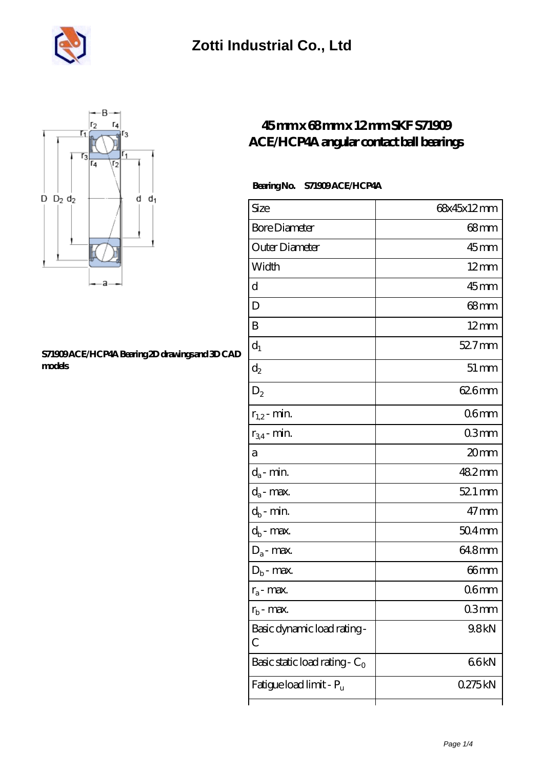



#### **[S71909 ACE/HCP4A Bearing 2D drawings and 3D CAD](https://m.musik-graz.net/pic-40468.html) [models](https://m.musik-graz.net/pic-40468.html)**

### **[45 mm x 68 mm x 12 mm SKF S71909](https://m.musik-graz.net/am-40468-skf-s71909-ace-hcp4a-angular-contact-ball-bearings.html) [ACE/HCP4A angular contact ball bearings](https://m.musik-graz.net/am-40468-skf-s71909-ace-hcp4a-angular-contact-ball-bearings.html)**

### **Bearing No. S71909 ACE/HCP4A**

| Size                             | 68x45x12mm         |
|----------------------------------|--------------------|
| <b>Bore Diameter</b>             | 68 <sub>mm</sub>   |
| Outer Diameter                   | $45$ mm            |
| Width                            | $12 \text{mm}$     |
| d                                | 45mm               |
| D                                | $68$ mm            |
| B                                | $12 \text{mm}$     |
| $d_1$                            | $527$ mm           |
| $\mathrm{d}_2$                   | $51 \,\mathrm{mm}$ |
| $D_2$                            | 626mm              |
| $r_{1,2}$ - min.                 | 06 <sub>mm</sub>   |
| $r_{34}$ - min.                  | 03 <sub>mm</sub>   |
| а                                | 20mm               |
| $d_a$ - min.                     | 482mm              |
| $d_a$ - max.                     | 52.1 mm            |
| $d_b$ - min.                     | $47$ mm            |
| $d_b$ - max.                     | $504 \text{mm}$    |
| $D_a$ - max.                     | 64.8mm             |
| $D_b$ - max.                     | 66 <sub>mm</sub>   |
| $r_a$ - max.                     | 06 <sub>mm</sub>   |
| $r_{\rm h}$ - max.               | Q3mm               |
| Basic dynamic load rating-<br>С  | 9.8kN              |
| Basic static load rating - $C_0$ | 66kN               |
| Fatigue load limit - Pu          | 0275kN             |
|                                  |                    |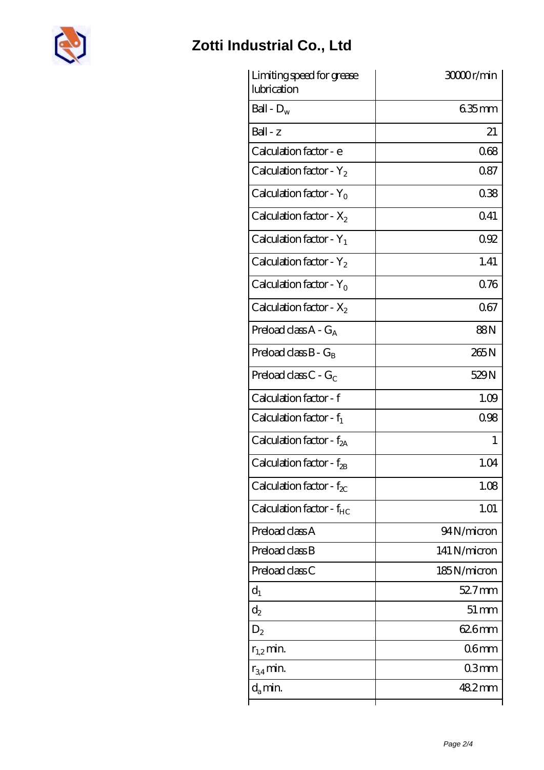

| Limiting speed for grease<br>lubrication | 3000r/min         |
|------------------------------------------|-------------------|
| Ball - $D_w$                             | $635$ mm          |
| $Ball - z$                               | 21                |
| Calculation factor - e                   | 068               |
| Calculation factor - $Y_2$               | 087               |
| Calculation factor - $Y_0$               | 038               |
| Calculation factor - $X_2$               | 041               |
| Calculation factor - $Y_1$               | 092               |
| Calculation factor - $Y_2$               | 1.41              |
| Calculation factor - $Y_0$               | 0.76              |
| Calculation factor - $X_2$               | 067               |
| Preload class $A - G_A$                  | 88N               |
| Preload class $B - G_B$                  | 265N              |
| Preload class $C$ - $G_C$                | 529N              |
| Calculation factor - f                   | 1.09              |
| Calculation factor - $f_1$               | 0.98              |
| Calculation factor - $f_{2A}$            | $\mathbf{1}$      |
| Calculation factor - f <sub>2B</sub>     | 1.04              |
| Calculation factor - $f_{\chi}$          | 1.08              |
| Calculation factor - $f_{HC}$            | 1.01              |
| Preload class A                          | 94N/micron        |
| Preload class B                          | 141 N/micron      |
| Preload class C                          | 185N/micron       |
| $d_1$                                    | 52.7mm            |
| $d_2$                                    | $51 \, \text{mm}$ |
| $D_2$                                    | 626mm             |
| $r_{1,2}$ min.                           | 06 <sub>mm</sub>  |
| $r_{34}$ min.                            | 03mm              |
| $d_{a}$ min.                             | 482mm             |
|                                          |                   |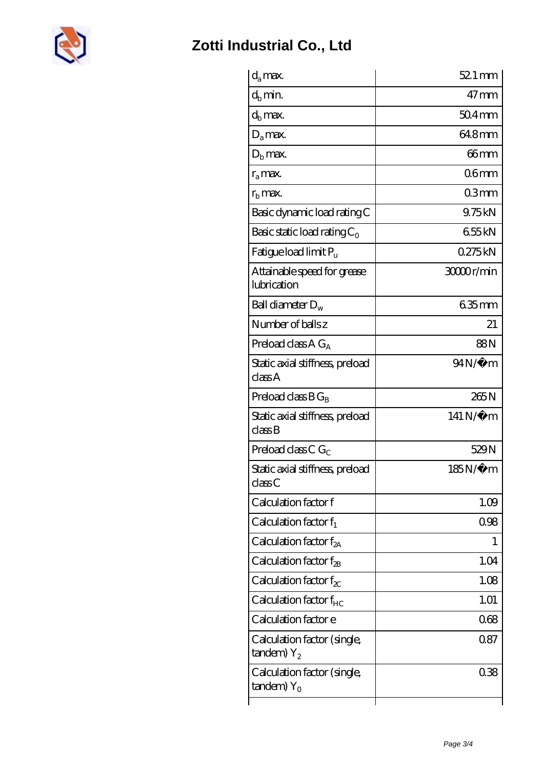

| $d_a$ max.                                               | $521 \,\mathrm{mm}$ |
|----------------------------------------------------------|---------------------|
| $d_b$ min.                                               | $47 \text{mm}$      |
| $d_h$ max.                                               | $504$ mm            |
| $D_a$ max.                                               | 648mm               |
| $Db$ max.                                                | 66mm                |
| $r_a$ max.                                               | 06 <sub>mm</sub>    |
| $r_{\rm b}$ max.                                         | 03mm                |
| Basic dynamic load rating C                              | 9.75kN              |
| Basic static load rating $C_0$                           | 655kN               |
| Fatigue load limit $P_u$                                 | 0275kN              |
| Attainable speed for grease<br>lubrication               | 30000r/min          |
| Ball diameter $D_w$                                      | 635mm               |
| Number of balls z                                        | 21                  |
| Preload class $AG_A$                                     | 88N                 |
| Static axial stiffness, preload<br>classA                | $94N/\mu$ m         |
| Preload class $BG_R$                                     | 265N                |
| Static axial stiffness, preload<br>classB                | 141 N/μ m           |
| Preload class C $G_C$                                    | 529N                |
| Static axial stiffness, preload<br>classC                | 185N/μ m            |
| Calculation factor f                                     | 1.09                |
| Calculation factor $f_1$                                 | 0.98                |
| C alculation factor $f_{2A}$                             | 1                   |
| Calculation factor $f_{\rm 2B}$                          | 1.04                |
| Calculation factor $f_{\chi}$                            | 1.08                |
| Calculation factor $f_{HC}$                              | 1.01                |
| Calculation factor e                                     | 068                 |
| Calculation factor (single,<br>$t$ andem) $Y_2$          | 0.87                |
| Calculation factor (single,<br>$t$ andem) Y <sub>o</sub> | 038                 |
|                                                          |                     |